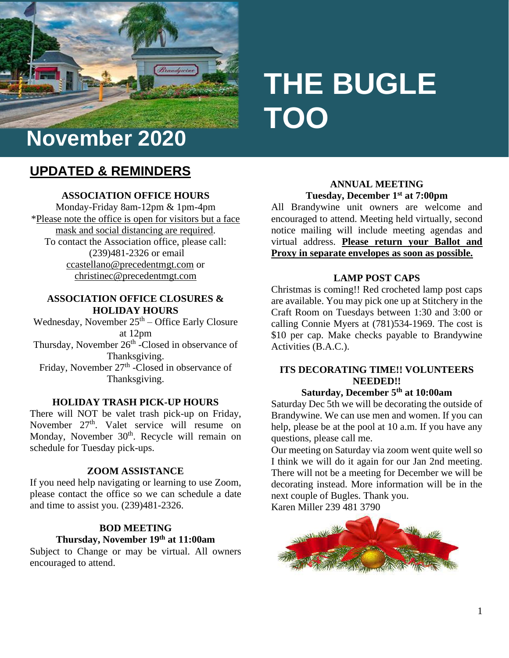

# **THE BUGLE TOO**

# **UPDATED & REMINDERS**

### **ASSOCIATION OFFICE HOURS**

Monday-Friday 8am-12pm & 1pm-4pm \*Please note the office is open for visitors but a face mask and social distancing are required. To contact the Association office, please call: (239)481-2326 or email [ccastellano@precedentmgt.com](mailto:ccastellano@precedentmgt.com) or christinec@precedentmgt.com

#### **ASSOCIATION OFFICE CLOSURES & HOLIDAY HOURS**

Wednesday, November  $25<sup>th</sup>$  – Office Early Closure at 12pm Thursday, November 26<sup>th</sup> -Closed in observance of Thanksgiving. Friday, November 27<sup>th</sup> -Closed in observance of Thanksgiving.

#### **HOLIDAY TRASH PICK-UP HOURS**

There will NOT be valet trash pick-up on Friday, November 27<sup>th</sup>. Valet service will resume on Monday, November 30<sup>th</sup>. Recycle will remain on schedule for Tuesday pick-ups.

#### **ZOOM ASSISTANCE**

If you need help navigating or learning to use Zoom, please contact the office so we can schedule a date and time to assist you. (239)481-2326.

# **BOD MEETING Thursday, November 19th at 11:00am**

Subject to Change or may be virtual. All owners encouraged to attend.

### **ANNUAL MEETING Tuesday, December 1st at 7:00pm**

All Brandywine unit owners are welcome and encouraged to attend. Meeting held virtually, second notice mailing will include meeting agendas and virtual address. **Please return your Ballot and Proxy in separate envelopes as soon as possible.**

#### **LAMP POST CAPS**

Christmas is coming!! Red crocheted lamp post caps are available. You may pick one up at Stitchery in the Craft Room on Tuesdays between 1:30 and 3:00 or calling Connie Myers at (781)534-1969. The cost is \$10 per cap. Make checks payable to Brandywine Activities (B.A.C.).

# **ITS DECORATING TIME!! VOLUNTEERS NEEDED!!**

#### **Saturday, December 5th at 10:00am**

Saturday Dec 5th we will be decorating the outside of Brandywine. We can use men and women. If you can help, please be at the pool at 10 a.m. If you have any questions, please call me.

Our meeting on Saturday via zoom went quite well so I think we will do it again for our Jan 2nd meeting. There will not be a meeting for December we will be decorating instead. More information will be in the next couple of Bugles. Thank you. Karen Miller 239 481 3790